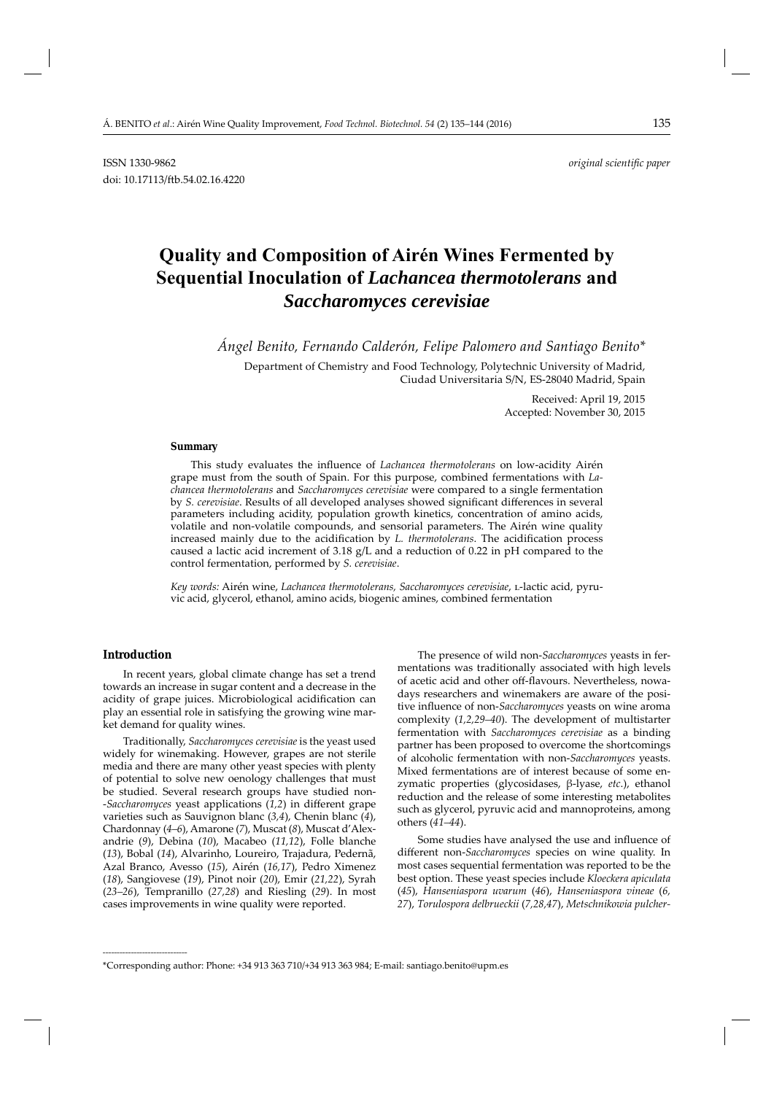# **Quality and Composition of Airén Wines Fermented by Sequential Inoculation of** *Lachancea thermotolerans* **and**  *Saccharomyces cerevisiae*

*Ángel Benito, Fernando Calderón, Felipe Palomero and Santiago Benito\**

Department of Chemistry and Food Technology, Polytechnic University of Madrid, Ciudad Universitaria S/N, ES-28040 Madrid, Spain

> Received: April 19, 2015 Accepted: November 30, 2015

#### **Summary**

This study evaluates the influence of *Lachancea thermotolerans* on low-acidity Airén grape must from the south of Spain. For this purpose, combined fermentations with *Lachancea thermotolerans* and *Saccharomyces cerevisiae* were compared to a single fermentation by *S. cerevisiae*. Results of all developed analyses showed significant differences in several parameters including acidity, population growth kinetics, concentration of amino acids, volatile and non-volatile compounds, and sensorial parameters. The Airén wine quality increased mainly due to the acidification by *L. thermotolerans*. The acidification process caused a lactic acid increment of 3.18 g/L and a reduction of 0.22 in pH compared to the control fermentation, performed by *S. cerevisiae*.

*Key words:* Airén wine, *Lachancea thermotolerans, Saccharomyces cerevisiae*, l-lactic acid, pyruvic acid, glycerol, ethanol, amino acids, biogenic amines, combined fermentation

#### **Introduction**

**\_\_\_\_\_\_\_\_\_\_\_\_\_\_\_\_\_\_\_\_\_\_\_\_\_\_\_\_\_\_**

In recent years, global climate change has set a trend towards an increase in sugar content and a decrease in the acidity of grape juices. Microbiological acidification can play an essential role in satisfying the growing wine market demand for quality wines.

Traditionally, *Saccharomyces cerevisiae* is the yeast used widely for winemaking. However, grapes are not sterile media and there are many other yeast species with plenty of potential to solve new oenology challenges that must be studied. Several research groups have studied non- -*Saccharomyces* yeast applications (1,2) in different grape varieties such as Sauvignon blanc (*3,4*), Chenin blanc (*4*), Chardonnay (*4–6*), Amarone (*7*), Muscat (*8*), Muscat d'Alexandrie (*9*), Debina (*10*), Macabeo (*11,12*), Folle blanche (*13*), Bobal (*14*), Alvarinho, Loureiro, Trajadura, Pedernã, Azal Branco, Avesso (*15*), Airén (*16,17*), Pedro Ximenez (*18*), Sangiovese (*19*), Pinot noir (*20*), Emir (*21,22*), Syrah (*23–26*), Tempranillo (*27,28*) and Riesling (*29*). In most cases improvements in wine quality were reported.

The presence of wild non-*Saccharomyces* yeasts in fermentations was traditionally associated with high levels of acetic acid and other off-flavours. Nevertheless, nowadays researchers and winemakers are aware of the positive influence of non-*Saccharomyces* yeasts on wine aroma complexity (*1,2,29–40*). The development of multistarter fermentation with *Saccharomyces cerevisiae* as a binding partner has been proposed to overcome the shortcomings of alcoholic fermentation with non-*Saccharomyces* yeasts. Mixed fermentations are of interest because of some enzymatic properties (glycosidases, β-lyase, *etc*.), ethanol reduction and the release of some interesting metabolites such as glycerol, pyruvic acid and mannoproteins, among others (*41–44*).

Some studies have analysed the use and influence of different non-*Saccharomyces* species on wine quality. In most cases sequential fermentation was reported to be the best option. These yeast species include *Kloeckera apiculata* (*45*), *Hanseniaspora uvarum* (*46*), *Hanseniaspora vineae* (*6, 27*), *Torulospora delbrueckii* (*7,28,47*), *Metschnikowia pulcher-*

<sup>\*</sup>Corresponding author: Phone: +34 913 363 710/+34 913 363 984; E-mail: santiago.benito@upm.es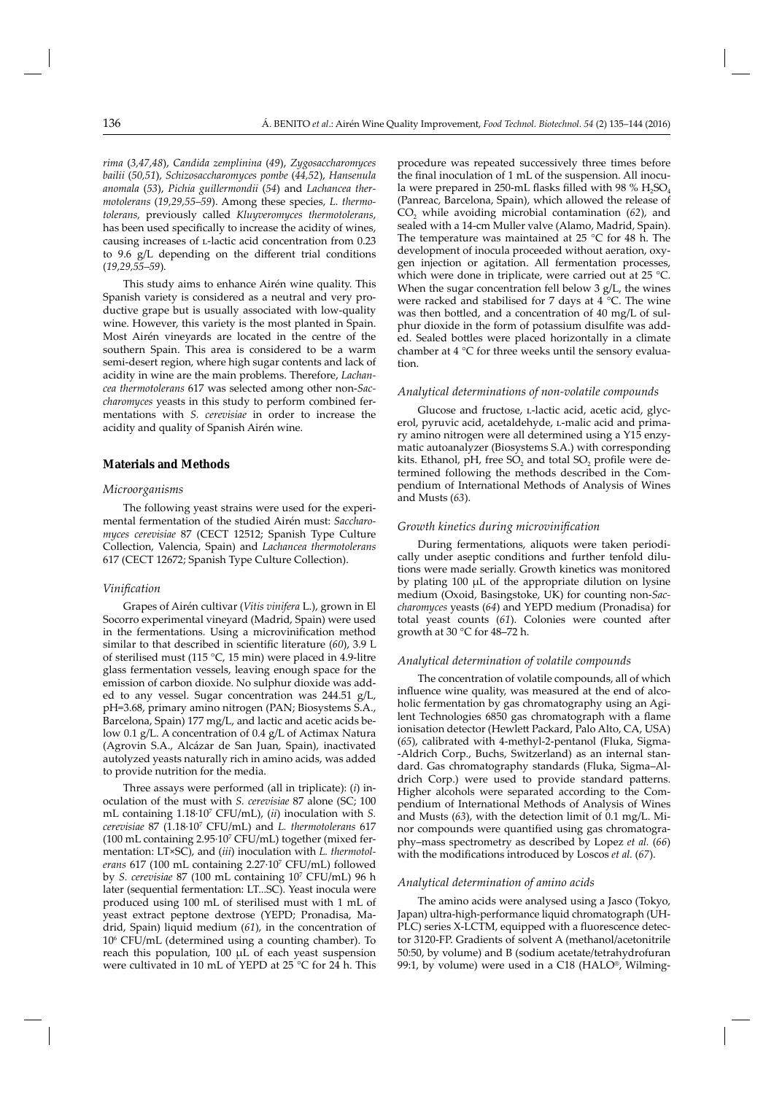*rima* (*3,47,48*), *Candida zemplinina* (*49*), *Zygosaccharomyces bailii* (*50,51*), *Schizosaccharomyces pombe* (*44,52*), *Hansenula anomala* (*53*), *Pichia guillermondii* (*54*) and *Lachancea thermotolerans* (*19,29,55–59*). Among these species, *L. thermotolerans,* previously called *Kluyveromyces thermotolerans*, has been used specifically to increase the acidity of wines, causing increases of *L*-lactic acid concentration from 0.23 to 9.6  $g/L$  depending on the different trial conditions (*19,29,55–59*)*.*

This study aims to enhance Airén wine quality. This Spanish variety is considered as a neutral and very productive grape but is usually associated with low-quality wine. However, this variety is the most planted in Spain. Most Airén vineyards are located in the centre of the southern Spain. This area is considered to be a warm semi-desert region, where high sugar contents and lack of acidity in wine are the main problems. Therefore, *Lachancea thermotolerans* 617 was selected among other non-*Saccharomyces* yeasts in this study to perform combined fermentations with *S. cerevisiae* in order to increase the acidity and quality of Spanish Airén wine.

# **Materials and Methods**

#### *Microorganisms*

The following yeast strains were used for the experimental fermentation of the studied Airén must: *Saccharomyces cerevisiae* 87 (CECT 12512; Spanish Type Culture Collection, Valencia, Spain) and *Lachancea thermotolerans* 617 (CECT 12672; Spanish Type Culture Collection).

#### *Vinifi cation*

Grapes of Airén cultivar (*Vitis vinifera* L.), grown in El Socorro experimental vineyard (Madrid, Spain) were used in the fermentations. Using a microvinification method similar to that described in scientific literature (60), 3.9 L of sterilised must (115 °C, 15 min) were placed in 4.9-litre glass fermentation vessels, leaving enough space for the emission of carbon dioxide. No sulphur dioxide was added to any vessel. Sugar concentration was 244.51 g/L, pH=3.68, primary amino nitrogen (PAN; Biosystems S.A., Barcelona, Spain) 177 mg/L, and lactic and acetic acids below 0.1 g/L. A concentration of 0.4 g/L of Actimax Natura (Agrovin S.A., Alcázar de San Juan, Spain), inactivated autolyzed yeasts naturally rich in amino acids, was added to provide nutrition for the media.

Three assays were performed (all in triplicate): (*i*) inoculation of the must with *S. cerevisiae* 87 alone (SC; 100 mL containing 1.18·107 CFU/mL), (*ii*) inoculation with *S. cerevisiae* 87 (1.18·107 CFU/mL) and *L. thermotolerans* 617 (100 mL containing 2.95·107 CFU/mL) together (mixed fermentation: LT×SC), and (*iii*) inoculation with *L. thermotolerans* 617 (100 mL containing 2.27·107 CFU/mL) followed by *S. cerevisiae* 87 (100 mL containing 107 CFU/mL) 96 h later (sequential fermentation: LT...SC). Yeast inocula were produced using 100 mL of sterilised must with 1 mL of yeast extract peptone dextrose (YEPD; Pronadisa, Madrid, Spain) liquid medium (*61*), in the concentration of 106 CFU/mL (determined using a counting chamber). To reach this population, 100 μL of each yeast suspension were cultivated in 10 mL of YEPD at 25 °C for 24 h. This

procedure was repeated successively three times before the final inoculation of 1 mL of the suspension. All inocula were prepared in 250-mL flasks filled with 98 %  $H_2SO_4$ (Panreac, Barcelona, Spain), which allowed the release of CO2 while avoiding microbial contamination (*62*), and sealed with a 14-cm Muller valve (Alamo, Madrid, Spain). The temperature was maintained at 25 °C for 48 h. The development of inocula proceeded without aeration, oxygen injection or agitation. All fermentation processes, which were done in triplicate, were carried out at 25 °C. When the sugar concentration fell below 3 g/L, the wines were racked and stabilised for 7 days at 4 °C. The wine was then bottled, and a concentration of 40 mg/L of sulphur dioxide in the form of potassium disulfite was added. Sealed bottles were placed horizontally in a climate chamber at 4 °C for three weeks until the sensory evaluation.

#### *Analytical determinations of non-volatile compounds*

Glucose and fructose, *L*-lactic acid, acetic acid, glycerol, pyruvic acid, acetaldehyde, L-malic acid and primary amino nitrogen were all determined using a Y15 enzymatic autoanalyzer (Biosystems S.A.) with corresponding kits. Ethanol, pH, free  $SO_2$  and total  $SO_2$  profile were determined following the methods described in the Compendium of International Methods of Analysis of Wines and Musts (*63*).

# *Growth kinetics during microvinifi cation*

During fermentations, aliquots were taken periodically under aseptic conditions and further tenfold dilutions were made serially. Growth kinetics was monitored by plating 100 μL of the appropriate dilution on lysine medium (Oxoid, Basingstoke, UK) for counting non-*Saccharomyces* yeasts (*64*) and YEPD medium (Pronadisa) for total yeast counts (61). Colonies were counted after growth at 30 °C for 48–72 h.

#### *Analytical determination of volatile compounds*

The concentration of volatile compounds, all of which influence wine quality, was measured at the end of alcoholic fermentation by gas chromatography using an Agilent Technologies 6850 gas chromatograph with a flame ionisation detector (Hewlett Packard, Palo Alto, CA, USA) (*65*), calibrated with 4-methyl-2-pentanol (Fluka, Sigma- -Aldrich Corp., Buchs, Switzerland) as an internal standard. Gas chromatography standards (Fluka, Sigma–Aldrich Corp.) were used to provide standard patterns. Higher alcohols were separated according to the Compendium of International Methods of Analysis of Wines and Musts (*63*), with the detection limit of 0.1 mg/L. Minor compounds were quantified using gas chromatography–mass spectrometry as described by Lopez *et al.* (*66*) with the modifications introduced by Loscos *et al.* (67).

#### *Analytical determination of amino acids*

The amino acids were analysed using a Jasco (Tokyo, Japan) ultra-high-performance liquid chromatograph (UH-PLC) series X-LCTM, equipped with a fluorescence detector 3120-FP. Gradients of solvent A (methanol/acetonitrile 50:50, by volume) and B (sodium acetate/tetrahydrofuran 99:1, by volume) were used in a C18 (HALO®, Wilming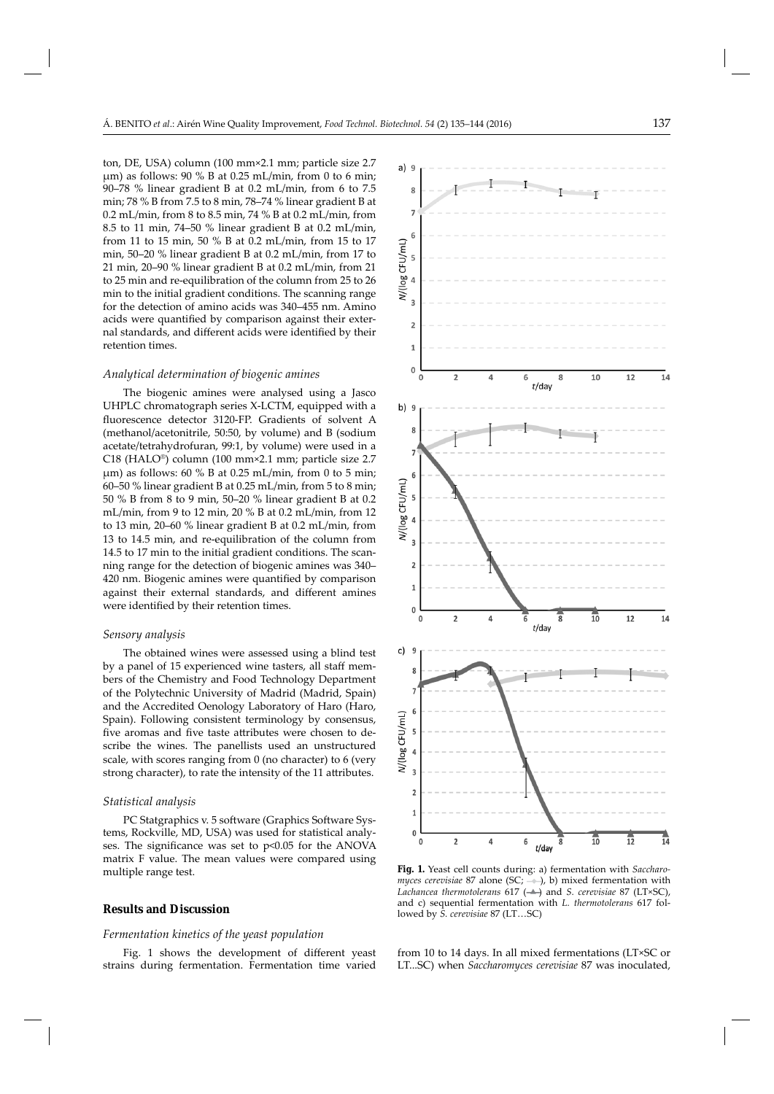ton, DE, USA) column (100 mm×2.1 mm; particle size 2.7 μm) as follows: 90 % B at 0.25 mL/min, from 0 to 6 min; 90–78 % linear gradient B at 0.2 mL/min, from 6 to 7.5 min; 78 % B from 7.5 to 8 min, 78–74 % linear gradient B at 0.2 mL/min, from 8 to 8.5 min, 74 % B at 0.2 mL/min, from 8.5 to 11 min, 74–50 % linear gradient B at 0.2 mL/min, from 11 to 15 min, 50 % B at 0.2 mL/min, from 15 to 17 min, 50–20 % linear gradient B at 0.2 mL/min, from 17 to 21 min, 20–90 % linear gradient B at 0.2 mL/min, from 21 to 25 min and re-equilibration of the column from 25 to 26 min to the initial gradient conditions. The scanning range for the detection of amino acids was 340–455 nm. Amino acids were quantified by comparison against their external standards, and different acids were identified by their retention times.

#### *Analytical determination of biogenic amines*

The biogenic amines were analysed using a Jasco UHPLC chromatograph series X-LCTM, equipped with a fluorescence detector 3120-FP. Gradients of solvent A (methanol/acetonitrile, 50:50, by volume) and B (sodium acetate/tetrahydrofuran, 99:1, by volume) were used in a C18 (HALO®) column (100 mm×2.1 mm; particle size 2.7 μm) as follows: 60 % B at 0.25 mL/min, from 0 to 5 min; 60–50 % linear gradient B at 0.25 mL/min, from 5 to 8 min; 50 % B from 8 to 9 min, 50–20 % linear gradient B at 0.2 mL/min, from 9 to 12 min, 20 % B at 0.2 mL/min, from 12 to 13 min, 20–60 % linear gradient B at 0.2 mL/min, from 13 to 14.5 min, and re-equilibration of the column from 14.5 to 17 min to the initial gradient conditions. The scanning range for the detection of biogenic amines was 340– 420 nm. Biogenic amines were quantified by comparison against their external standards, and different amines were identified by their retention times.

#### *Sensory analysis*

The obtained wines were assessed using a blind test by a panel of 15 experienced wine tasters, all staff members of the Chemistry and Food Technology Department of the Polytechnic University of Madrid (Madrid, Spain) and the Accredited Oenology Laboratory of Haro (Haro, Spain). Following consistent terminology by consensus, five aromas and five taste attributes were chosen to describe the wines. The panellists used an unstructured scale, with scores ranging from 0 (no character) to 6 (very strong character), to rate the intensity of the 11 attributes.

#### *Statistical analysis*

PC Statgraphics v. 5 software (Graphics Software Systems, Rockville, MD, USA) was used for statistical analyses. The significance was set to  $p<0.05$  for the ANOVA matrix F value. The mean values were compared using multiple range test.

# **Results and Discussion**

#### *Fermentation kinetics of the yeast population*

Fig. 1 shows the development of different yeast strains during fermentation. Fermentation time varied



**Fig. 1.** Yeast cell counts during: a) fermentation with *Saccharomyces cerevisiae* 87 alone (SC;  $\rightarrow$  ), b) mixed fermentation with *Lachancea thermotolerans* 617 (––) and *S. cerevisiae* 87 (LT×SC), and c) sequential fermentation with *L. thermotolerans* 617 followed by *S. cerevisiae* 87 (LT…SC)

from 10 to 14 days. In all mixed fermentations (LT×SC or LT...SC) when *Saccharomyces cerevisiae* 87 was inoculated,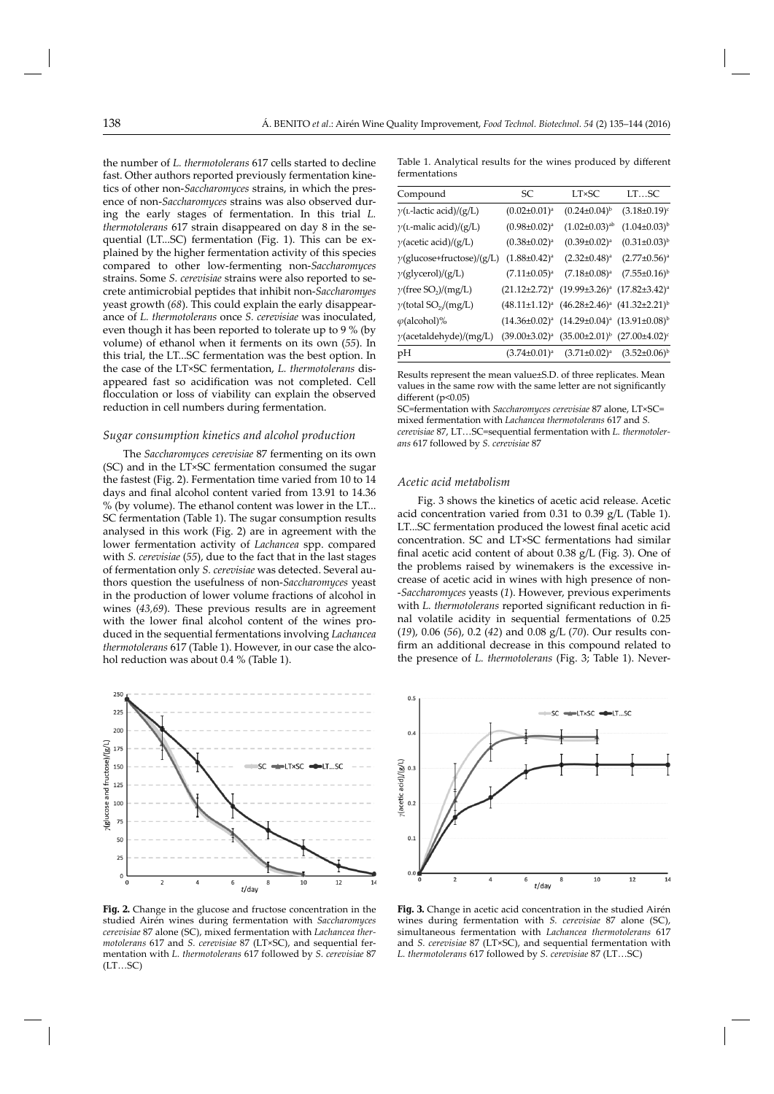the number of *L. thermotolerans* 617 cells started to decline fast. Other authors reported previously fermentation kinetics of other non-*Saccharomyces* strains, in which the presence of non-*Saccharomyces* strains was also observed during the early stages of fermentation. In this trial *L. thermotolerans* 617 strain disappeared on day 8 in the sequential (LT...SC) fermentation (Fig. 1). This can be explained by the higher fermentation activity of this species compared to other low-fermenting non-*Saccharomyces*  strains. Some *S. cerevisiae* strains were also reported to secrete antimicrobial peptides that inhibit non-*Saccharomyes* yeast growth (*68*). This could explain the early disappearance of *L. thermotolerans* once *S. cerevisiae* was inoculated, even though it has been reported to tolerate up to 9 % (by volume) of ethanol when it ferments on its own (*55*). In this trial, the LT...SC fermentation was the best option. In the case of the LT×SC fermentation, *L. thermotolerans* disappeared fast so acidification was not completed. Cell flocculation or loss of viability can explain the observed reduction in cell numbers during fermentation.

#### *Sugar consumption kinetics and alcohol production*

The *Saccharomyces cerevisiae* 87 fermenting on its own (SC) and in the LT×SC fermentation consumed the sugar the fastest (Fig. 2). Fermentation time varied from 10 to 14 days and final alcohol content varied from 13.91 to 14.36 % (by volume). The ethanol content was lower in the LT... SC fermentation (Table 1). The sugar consumption results analysed in this work (Fig. 2) are in agreement with the lower fermentation activity of *Lachancea* spp. compared with *S. cerevisiae* (55), due to the fact that in the last stages of fermentation only *S. cerevisiae* was detected. Several authors question the usefulness of non-*Saccharomyces* yeast in the production of lower volume fractions of alcohol in wines (*43,69*). These previous results are in agreement with the lower final alcohol content of the wines produced in the sequential fermentations involving *Lachancea thermotolerans* 617 (Table 1). However, in our case the alcohol reduction was about 0.4 % (Table 1).



**Fig. 2.** Change in the glucose and fructose concentration in the studied Airén wines during fermentation with *Saccharomyces cerevisiae* 87 alone (SC), mixed fermentation with *Lachancea thermotolerans* 617 and *S. cerevisiae* 87 (LT×SC), and sequential fermentation with *L. thermotolerans* 617 followed by *S. cerevisiae* 87 (LT…SC)

Table 1. Analytical results for the wines produced by different fermentations

| <b>SC</b>                                                | <b>LT×SC</b>           | LTSC                                                                                                                                                                                                                                                                               |
|----------------------------------------------------------|------------------------|------------------------------------------------------------------------------------------------------------------------------------------------------------------------------------------------------------------------------------------------------------------------------------|
| $(0.02 \pm 0.01)^a$                                      | $(0.24 \pm 0.04)^{b}$  | $(3.18 \pm 0.19)^c$                                                                                                                                                                                                                                                                |
| $(0.98 \pm 0.02)^a$                                      | $(1.02 \pm 0.03)^{ab}$ | $(1.04 \pm 0.03)^{b}$                                                                                                                                                                                                                                                              |
| $(0.38 \pm 0.02)^a$                                      | $(0.39 \pm 0.02)^a$    | $(0.31 \pm 0.03)^{b}$                                                                                                                                                                                                                                                              |
| $(1.88 \pm 0.42)^a$<br>$\gamma$ (glucose+fructose)/(g/L) | $(2.32 \pm 0.48)^a$    | $(2.77 \pm 0.56)^a$                                                                                                                                                                                                                                                                |
| $(7.11 \pm 0.05)^a$                                      | $(7.18 \pm 0.08)^a$    | $(7.55 \pm 0.16)^{b}$                                                                                                                                                                                                                                                              |
| $(21.12 \pm 2.72)^a$                                     |                        |                                                                                                                                                                                                                                                                                    |
|                                                          |                        |                                                                                                                                                                                                                                                                                    |
|                                                          |                        |                                                                                                                                                                                                                                                                                    |
|                                                          |                        |                                                                                                                                                                                                                                                                                    |
|                                                          |                        |                                                                                                                                                                                                                                                                                    |
|                                                          |                        | $(19.99\pm3.26)^a$ $(17.82\pm3.42)^a$<br>$(48.11\pm1.12)^a$ $(46.28\pm2.46)^a$ $(41.32\pm2.21)^b$<br>$(14.36\pm0.02)^a$ $(14.29\pm0.04)^a$ $(13.91\pm0.08)^b$<br>$(39.00\pm3.02)^a$ $(35.00\pm2.01)^b$ $(27.00\pm4.02)^c$<br>$(3.74\pm0.01)^a$ $(3.71\pm0.02)^a$ $(3.52\pm0.06)^b$ |

Results represent the mean value±S.D. of three replicates. Mean values in the same row with the same letter are not significantly different ( $p<0.05$ )

SC=fermentation with *Saccharomyces cerevisiae* 87 alone, LT×SC= mixed fermentation with *Lachancea thermotolerans* 617 and *S. cere visiae* 87, LT…SC=sequential fermentation with *L. thermotolerans* 617 followed by *S. cerevisiae* 87

#### *Acetic acid metabolism*

Fig. 3 shows the kinetics of acetic acid release. Acetic acid concentration varied from 0.31 to 0.39 g/L (Table 1). LT...SC fermentation produced the lowest final acetic acid concentration. SC and LT×SC fermentations had similar final acetic acid content of about 0.38 g/L (Fig. 3). One of the problems raised by winemakers is the excessive increase of acetic acid in wines with high presence of non- -*Saccharomyces* yeasts (*1*). However, previous experiments with *L. thermotolerans* reported significant reduction in final volatile acidity in sequential fermentations of 0.25 (*19*), 0.06 (*56*), 0.2 (*42*) and 0.08 g/L (*70*). Our results confirm an additional decrease in this compound related to the presence of *L. thermotolerans* (Fig. 3; Table 1). Never-



**Fig. 3.** Change in acetic acid concentration in the studied Airén wines during fermentation with *S. cerevisiae* 87 alone (SC), simul taneous fermentation with *Lachancea thermotolerans* 617 and *S. cerevisiae* 87 (LT×SC), and sequential fermentation with *L. thermotolerans* 617 followed by *S. cerevisiae* 87 (LT…SC)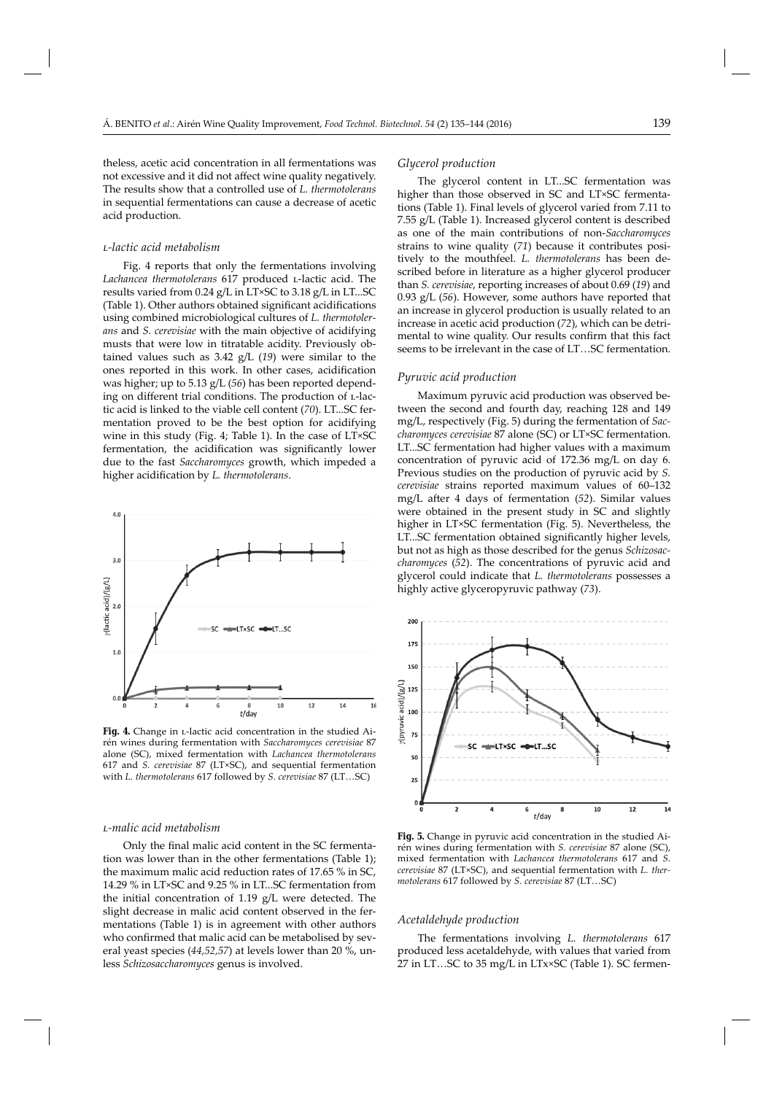theless, acetic acid concentration in all fermentations was not excessive and it did not affect wine quality negatively. The results show that a controlled use of *L. thermotolerans* in sequential fermentations can cause a decrease of acetic acid production.

#### *l-lactic acid metabolism*

Fig. 4 reports that only the fermentations involving Lachancea thermotolerans 617 produced *L*-lactic acid. The results varied from 0.24 g/L in LT×SC to 3.18 g/L in LT...SC (Table 1). Other authors obtained significant acidifications using combined microbiological cultures of *L. thermotolerans* and *S. cerevisiae* with the main objective of acidifying musts that were low in titratable acidity. Previously obtained values such as 3.42 g/L (*19*) were similar to the ones reported in this work. In other cases, acidification was higher; up to 5.13 g/L (*56*) has been reported depending on different trial conditions. The production of L-lactic acid is linked to the viable cell content (*70*). LT...SC fermentation proved to be the best option for acidifying wine in this study (Fig. 4; Table 1). In the case of LT×SC fermentation, the acidification was significantly lower due to the fast *Saccharomyces* growth, which impeded a higher acidification by *L. thermotolerans*.



Fig. 4. Change in *L*-lactic acid concentration in the studied Airén wines during fermentation with *Saccharomyces cerevisiae* 87 alone (SC), mixed fermentation with *Lachancea thermotolerans*  617 and *S. cerevisiae* 87 (LT×SC), and sequential fermentation with *L. thermotolerans* 617 followed by *S. cerevisiae* 87 (LT…SC)

#### *l-malic acid metabolism*

Only the final malic acid content in the SC fermentation was lower than in the other fermentations (Table 1); the maximum malic acid reduction rates of 17.65 % in SC, 14.29 % in LT×SC and 9.25 % in LT...SC fermentation from the initial concentration of 1.19 g/L were detected. The slight decrease in malic acid content observed in the fermentations (Table 1) is in agreement with other authors who confirmed that malic acid can be metabolised by several yeast species (*44,52,57*) at levels lower than 20 %, unless *Schizosaccharomyces* genus is involved.

# *Glycerol production*

The glycerol content in LT...SC fermentation was higher than those observed in SC and LT×SC fermentations (Table 1). Final levels of glycerol varied from 7.11 to 7.55 g/L (Table 1). Increased glycerol content is described as one of the main contributions of non-*Saccharomyces* strains to wine quality (*71*) because it contributes positively to the mouthfeel. *L. thermotolerans* has been described before in literature as a higher glycerol producer than *S. cerevisiae*, reporting increases of about 0.69 (*19*) and 0.93 g/L (*56*). However, some authors have reported that an increase in glycerol production is usually related to an increase in acetic acid production (*72*), which can be detrimental to wine quality. Our results confirm that this fact seems to be irrelevant in the case of LT…SC fermentation.

# *Pyruvic acid production*

Maximum pyruvic acid production was observed between the second and fourth day, reaching 128 and 149 mg/L, respectively (Fig. 5) during the fermentation of *Saccharomyces cerevisiae* 87 alone (SC) or LT×SC fermentation. LT...SC fermentation had higher values with a maximum concentration of pyruvic acid of 172.36 mg/L on day 6. Previous studies on the production of pyruvic acid by *S. cerevisiae* strains reported maximum values of 60–132 mg/L after 4 days of fermentation (52). Similar values were obtained in the present study in SC and slightly higher in LT×SC fermentation (Fig. 5). Nevertheless, the LT...SC fermentation obtained significantly higher levels, but not as high as those described for the genus *Schizosaccharomyces* (*52*). The concentrations of pyruvic acid and glycerol could indicate that *L. thermotolerans* possesses a highly active glyceropyruvic pathway (*73*).



**Fig. 5.** Change in pyruvic acid concentration in the studied Airén wines during fermentation with *S. cerevisiae* 87 alone (SC), mixed fermentation with *Lachancea thermotolerans* 617 and *S. cerevisiae* 87 (LT×SC), and sequential fermentation with *L. thermotolerans* 617 followed by *S. cerevisiae* 87 (LT…SC)

# *Acetaldehyde production*

The fermentations involving *L. thermotolerans* 617 produced less acetaldehyde, with values that varied from 27 in LT…SC to 35 mg/L in LTx×SC (Table 1). SC fermen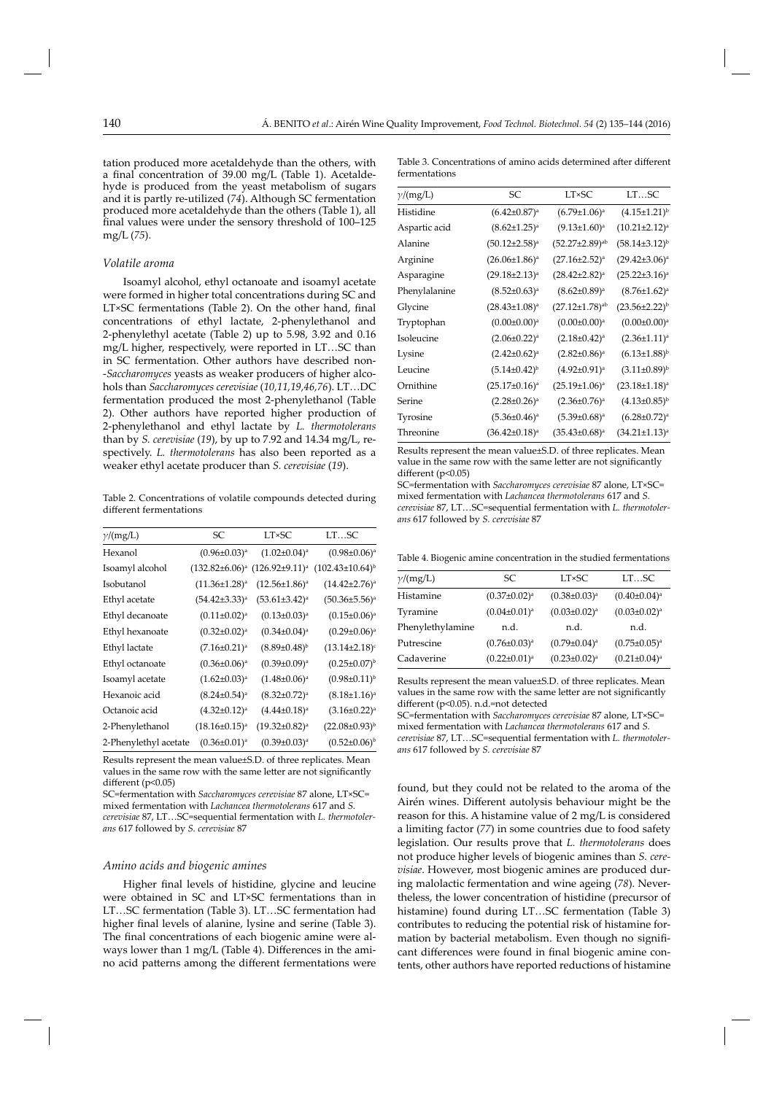tation produced more acetaldehyde than the others, with a final concentration of 39.00 mg/L (Table 1). Acetaldehyde is produced from the yeast metabolism of sugars and it is partly re-utilized (*74*). Although SC fermentation produced more acetaldehyde than the others (Table 1), all final values were under the sensory threshold of 100-125 mg/L (*75*).

#### *Volatile aroma*

Isoamyl alcohol, ethyl octanoate and isoamyl acetate were formed in higher total concentrations during SC and LT×SC fermentations (Table 2). On the other hand, final concentrations of ethyl lactate, 2-phenylethanol and 2-phenylethyl acetate (Table 2) up to 5.98, 3.92 and 0.16 mg/L higher, respectively, were reported in LT…SC than in SC fermentation. Other authors have described non- -*Saccharomyces* yeasts as weaker producers of higher alcohols than *Saccharomyces cerevisiae* (*10,11,19,46,76*). LT…DC fermentation produced the most 2-phenylethanol (Table 2). Other authors have reported higher production of 2-phenylethanol and ethyl lactate by *L. thermotolerans* than by *S. cerevisiae* (*19*), by up to 7.92 and 14.34 mg/L, respectively. *L. thermotolerans* has also been reported as a weaker ethyl acetate producer than *S. cerevisiae* (*19*).

Table 2. Concentrations of volatile compounds detected during different fermentations

| SC                    | <b>LT×SC</b>          | LTSC                     |
|-----------------------|-----------------------|--------------------------|
| $(0.96 \pm 0.03)^a$   | $(1.02 \pm 0.04)^a$   | $(0.98 \pm 0.06)^a$      |
| $(132.82 \pm 6.06)^a$ | $(126.92\pm9.11)^a$   | $(102.43 \pm 10.64)^{b}$ |
| $(11.36 \pm 1.28)^a$  | $(12.56 \pm 1.86)^a$  | $(14.42 \pm 2.76)^a$     |
| $(54.42\pm3.33)^a$    | $(53.61 \pm 3.42)^a$  | $(50.36 \pm 5.56)^a$     |
| $(0.11\pm0.02)^a$     | $(0.13 \pm 0.03)^a$   | $(0.15 \pm 0.06)^a$      |
| $(0.32 \pm 0.02)^a$   | $(0.34 \pm 0.04)^a$   | $(0.29 \pm 0.06)^a$      |
| $(7.16 \pm 0.21)^a$   | $(8.89 \pm 0.48)^{b}$ | $(13.14\pm2.18)^c$       |
| $(0.36 \pm 0.06)^a$   | $(0.39 \pm 0.09)^a$   | $(0.25 \pm 0.07)^{b}$    |
| $(1.62 \pm 0.03)^a$   | $(1.48\pm0.06)^a$     | $(0.98 \pm 0.11)^{b}$    |
| $(8.24 \pm 0.54)^a$   | $(8.32 \pm 0.72)^a$   | $(8.18\pm1.16)^a$        |
| $(4.32 \pm 0.12)^a$   | $(4.44\pm0.18)^a$     | $(3.16 \pm 0.22)^a$      |
| $(18.16 \pm 0.15)^a$  | $(19.32 \pm 0.82)^a$  | $(22.08 \pm 0.93)^{b}$   |
| $(0.36 \pm 0.01)^a$   | $(0.39 \pm 0.03)^a$   | $(0.52 \pm 0.06)^{b}$    |
|                       |                       |                          |

Results represent the mean value±S.D. of three replicates. Mean values in the same row with the same letter are not significantly different ( $p<0.05$ )

SC=fermentation with *Saccharomyces cerevisiae* 87 alone, LT×SC= mixed fermentation with *Lachancea thermotolerans* 617 and *S.* 

*cerevisiae* 87, LT…SC=sequential fermentation with *L. thermotolerans* 617 followed by *S. cerevisiae* 87

#### *Amino acids and biogenic amines*

Higher final levels of histidine, glycine and leucine were obtained in SC and LT×SC fermentations than in LT…SC fermentation (Table 3). LT…SC fermentation had higher final levels of alanine, lysine and serine (Table 3). The final concentrations of each biogenic amine were always lower than 1 mg/L (Table 4). Differences in the amino acid patterns among the different fermentations were

Table 3. Concentrations of amino acids determined after different fermentations

| $\gamma/(mg/L)$ | SС                   | <b>LT×SC</b>            | LTSC                   |
|-----------------|----------------------|-------------------------|------------------------|
| Histidine       | $(6.42 \pm 0.87)^a$  | $(6.79 \pm 1.06)^a$     | $(4.15 \pm 1.21)^{b}$  |
| Aspartic acid   | $(8.62 \pm 1.25)^a$  | $(9.13 \pm 1.60)^a$     | $(10.21 \pm 2.12)^a$   |
| Alanine         | $(50.12 \pm 2.58)^a$ | $(52.27 \pm 2.89)^{ab}$ | $(58.14\pm3.12)^{b}$   |
| Arginine        | $(26.06 \pm 1.86)^a$ | $(27.16 \pm 2.52)^a$    | $(29.42 \pm 3.06)^a$   |
| Asparagine      | $(29.18 \pm 2.13)^a$ | $(28.42 \pm 2.82)^a$    | $(25.22 \pm 3.16)^a$   |
| Phenylalanine   | $(8.52 \pm 0.63)^a$  | $(8.62 \pm 0.89)^a$     | $(8.76 \pm 1.62)^a$    |
| Glycine         | $(28.43 \pm 1.08)^a$ | $(27.12 \pm 1.78)^{ab}$ | $(23.56 \pm 2.22)^{b}$ |
| Tryptophan      | $(0.00 \pm 0.00)^a$  | $(0.00\pm0.00)^a$       | $(0.00 \pm 0.00)^a$    |
| Isoleucine      | $(2.06 \pm 0.22)^a$  | $(2.18 \pm 0.42)^a$     | $(2.36 \pm 1.11)^a$    |
| Lysine          | $(2.42 \pm 0.62)^a$  | $(2.82 \pm 0.86)^a$     | $(6.13 \pm 1.88)^{b}$  |
| Leucine         | $(5.14\pm0.42)^{b}$  | $(4.92\pm0.91)^a$       | $(3.11\pm0.89)^{b}$    |
| Ornithine       | $(25.17 \pm 0.16)^a$ | $(25.19 \pm 1.06)^a$    | $(23.18 \pm 1.18)^a$   |
| Serine          | $(2.28 \pm 0.26)^a$  | $(2.36 \pm 0.76)^a$     | $(4.13\pm0.85)^{b}$    |
| Tyrosine        | $(5.36 \pm 0.46)^a$  | $(5.39 \pm 0.68)^a$     | $(6.28 \pm 0.72)^a$    |
| Threonine       | $(36.42 \pm 0.18)^a$ | $(35.43 \pm 0.68)^a$    | $(34.21 \pm 1.13)^a$   |
|                 |                      |                         |                        |

Results represent the mean value±S.D. of three replicates. Mean value in the same row with the same letter are not significantly different ( $p<0.05$ )

SC=fermentation with *Saccharomyces cerevisiae* 87 alone, LT×SC= mixed fermentation with *Lachancea thermotolerans* 617 and *S. cerevisiae* 87, LT…SC=sequential fermentation with *L. thermotolerans* 617 followed by *S. cerevisiae* 87

Table 4. Biogenic amine concentration in the studied fermentations

| $\gamma/(mg/L)$  | SС                  | <b>LT×SC</b>        | LTSC                |
|------------------|---------------------|---------------------|---------------------|
| Histamine        | $(0.37 \pm 0.02)^a$ | $(0.38 \pm 0.03)^a$ | $(0.40 \pm 0.04)^a$ |
| Tyramine         | $(0.04\pm0.01)^a$   | $(0.03 \pm 0.02)^a$ | $(0.03 \pm 0.02)^a$ |
| Phenylethylamine | n.d.                | n.d.                | n.d.                |
| Putrescine       | $(0.76 \pm 0.03)^a$ | $(0.79 \pm 0.04)^a$ | $(0.75 \pm 0.05)^a$ |
| Cadaverine       | $(0.22 \pm 0.01)^a$ | $(0.23 \pm 0.02)^a$ | $(0.21 \pm 0.04)^a$ |

Results represent the mean value±S.D. of three replicates. Mean values in the same row with the same letter are not significantly different (p<0.05). n.d.=not detected

SC=fermentation with *Saccharomyces cerevisiae* 87 alone, LT×SC= mixed fermentation with *Lachancea thermotolerans* 617 and *S. cerevisiae* 87, LT…SC=sequential fermentation with *L. thermotolerans* 617 followed by *S. cerevisiae* 87

found, but they could not be related to the aroma of the Airén wines. Different autolysis behaviour might be the reason for this. A histamine value of 2 mg/L is considered a limiting factor (*77*) in some countries due to food safety legislation. Our results prove that *L. thermotolerans* does not produce higher levels of biogenic amines than *S. cerevisiae*. However, most biogenic amines are produced during malolactic fermentation and wine ageing (*78*). Nevertheless, the lower concentration of histidine (precursor of histamine) found during LT…SC fermentation (Table 3) contributes to reducing the potential risk of histamine formation by bacterial metabolism. Even though no significant differences were found in final biogenic amine contents, other authors have reported reductions of histamine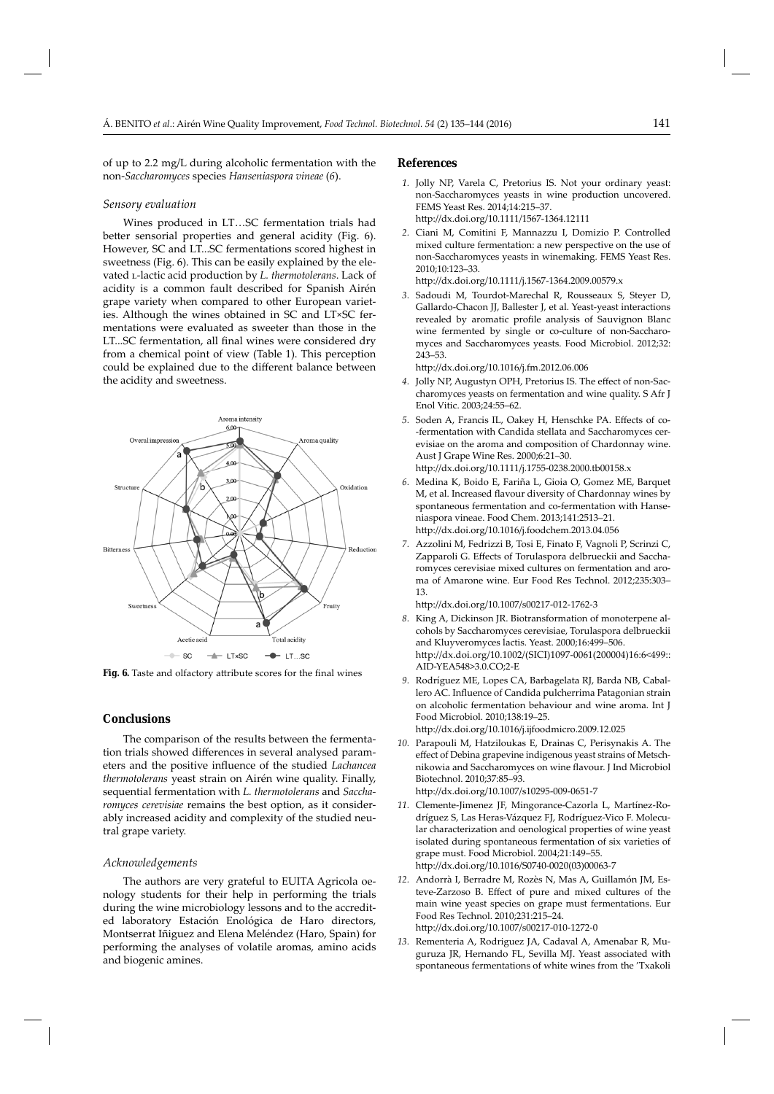of up to  $2.2 \text{ mg/L}$  during alcoholic fermentation with the non-*Saccharomyces* species *Hanseniaspora vineae* (*6*).

#### *Sensory evaluation*

Wines produced in LT…SC fermentation trials had better sensorial properties and general acidity (Fig. 6). However, SC and LT...SC fermentations scored highest in sweetness (Fig. 6). This can be easily explained by the elevated *L*-lactic acid production by *L. thermotolerans*. Lack of acidity is a common fault described for Spanish Airén grape variety when compared to other European varieties. Although the wines obtained in SC and LT×SC fermentations were evaluated as sweeter than those in the LT...SC fermentation, all final wines were considered dry from a chemical point of view (Table 1). This perception could be explained due to the different balance between the acidity and sweetness.



Fig. 6. Taste and olfactory attribute scores for the final wines

# **Conclusions**

The comparison of the results between the fermentation trials showed differences in several analysed parameters and the positive influence of the studied *Lachancea thermotolerans* yeast strain on Airén wine quality. Finally, sequential fermentation with *L. thermotolerans* and *Saccharomyces cerevisiae* remains the best option, as it considerably increased acidity and complexity of the studied neutral grape variety.

# *Acknowledgements*

The authors are very grateful to EUITA Agricola oenology students for their help in performing the trials during the wine microbiology lessons and to the accredited laboratory Estación Enológica de Haro directors, Montserrat Iñiguez and Elena Meléndez (Haro, Spain) for performing the analyses of volatile aromas, amino acids and biogenic amines.

#### **References**

- *1.* Jolly NP, Varela C, Pretorius IS. Not your ordinary yeast: non-Saccharomyces yeasts in wine production uncovered. FEMS Yeast Res. 2014;14:215–37. http://dx.doi.org/10.1111/1567-1364.12111
- *2.* Ciani M, Comitini F, Mannazzu I, Domizio P. Controlled mixed culture fermentation: a new perspective on the use of non-Saccharomyces yeasts in winemaking. FEMS Yeast Res. 2010;10:123–33.

http://dx.doi.org/10.1111/j.1567-1364.2009.00579.x

 *3.* Sadoudi M, Tourdot-Marechal R, Rousseaux S, Steyer D, Gallardo-Chacon JJ, Ballester J, et al. Yeast-yeast interactions revealed by aromatic profile analysis of Sauvignon Blanc wine fermented by single or co-culture of non-Saccharomyces and Saccharomyces yeasts. Food Microbiol. 2012;32: 243–53.

http://dx.doi.org/10.1016/j.fm.2012.06.006

- 4. Jolly NP, Augustyn OPH, Pretorius IS. The effect of non-Saccharomyces yeasts on fermentation and wine quality. S Afr J Enol Vitic. 2003;24:55–62.
- 5. Soden A, Francis IL, Oakey H, Henschke PA. Effects of co--fermentation with Candida stellata and Saccharomyces cerevisiae on the aroma and composition of Chardonnay wine. Aust J Grape Wine Res. 2000;6:21–30. http://dx.doi.org/10.1111/j.1755-0238.2000.tb00158.x
- *6.* Medina K, Boido E, Fariña L, Gioia O, Gomez ME, Barquet M, et al. Increased flavour diversity of Chardonnay wines by spontaneous fermentation and co-fermentation with Hanseniaspora vineae. Food Chem. 2013;141:2513–21. http://dx.doi.org/10.1016/j.foodchem.2013.04.056
- *7.* Azzolini M, Fedrizzi B, Tosi E, Finato F, Vagnoli P, Scrinzi C, Zapparoli G. Effects of Torulaspora delbrueckii and Saccharomyces cerevisiae mixed cultures on fermentation and aroma of Amarone wine. Eur Food Res Technol. 2012;235:303– 13.

http://dx.doi.org/10.1007/s00217-012-1762-3

- *8.* King A, Dickinson JR. Biotransformation of monoterpene alcohols by Saccharomyces cerevisiae, Torulaspora delbrueckii and Kluyveromyces lactis. Yeast. 2000;16:499–506. http://dx.doi.org/10.1002/(SICI)1097-0061(200004)16:6<499:: AID-YEA548>3.0.CO;2-E
- *9.* Rodríguez ME, Lopes CA, Barbagelata RJ, Barda NB, Caballero AC. Influence of Candida pulcherrima Patagonian strain on alcoholic fermentation behaviour and wine aroma. Int J Food Microbiol. 2010;138:19–25. http://dx.doi.org/10.1016/j.ijfoodmicro.2009.12.025
- *10.* Parapouli M, Hatziloukas E, Drainas C, Perisynakis A. The effect of Debina grapevine indigenous yeast strains of Metschnikowia and Saccharomyces on wine flavour. J Ind Microbiol Biotechnol. 2010;37:85–93.

http://dx.doi.org/10.1007/s10295-009-0651-7

- *11.* Clemente-Jimenez JF, Mingorance-Cazorla L, Martínez-Rodríguez S, Las Heras-Vázquez FJ, Rodríguez-Vico F. Molecular characterization and oenological properties of wine yeast isolated during spontaneous fermentation of six varieties of grape must. Food Microbiol. 2004;21:149–55. http://dx.doi.org/10.1016/S0740-0020(03)00063-7
- *12.* Andorrà I, Berradre M, Rozès N, Mas A, Guillamón JM, Esteve-Zarzoso B. Effect of pure and mixed cultures of the main wine yeast species on grape must fermentations. Eur Food Res Technol. 2010;231:215–24. http://dx.doi.org/10.1007/s00217-010-1272-0
- *13.* Rementeria A, Rodriguez JA, Cadaval A, Amenabar R, Muguruza JR, Hernando FL, Sevilla MJ. Yeast associated with spontaneous fermentations of white wines from the 'Txakoli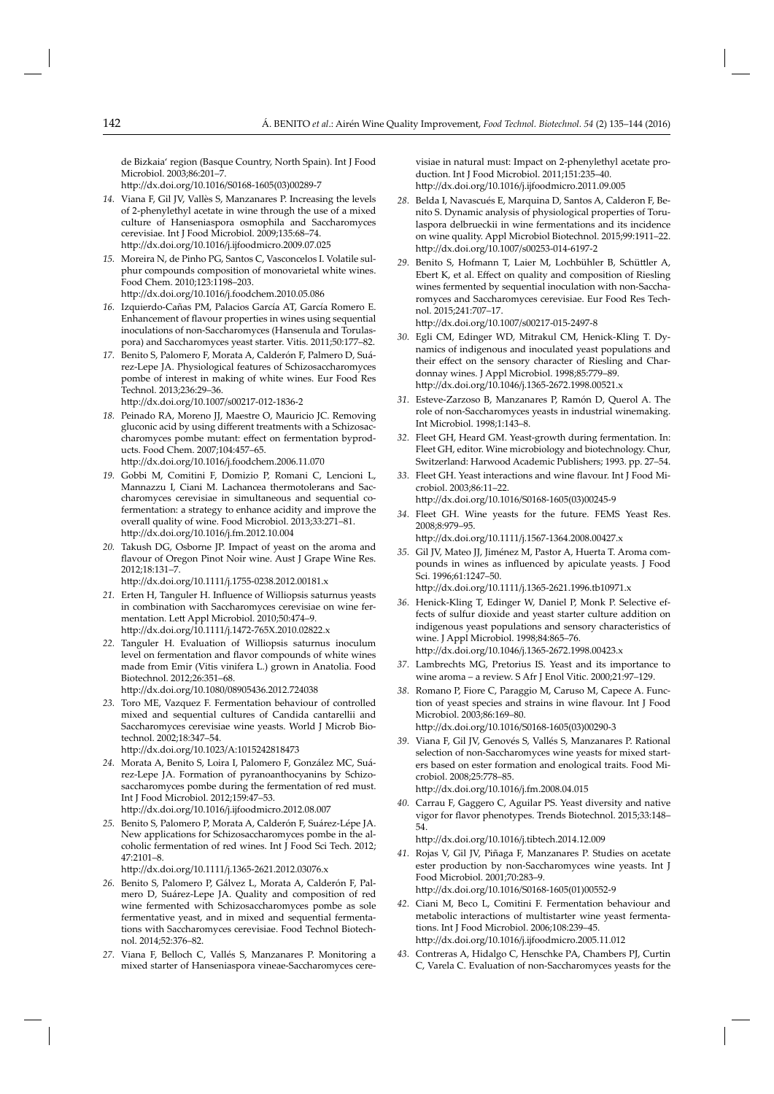de Bizkaia' region (Basque Country, North Spain). Int J Food Microbiol. 2003;86:201–7.

http://dx.doi.org/10.1016/S0168-1605(03)00289-7

- *14.* Viana F, Gil JV, Vallès S, Manzanares P. Increasing the levels of 2-phenylethyl acetate in wine through the use of a mixed culture of Hanseniaspora osmophila and Saccharomyces cerevisiae. Int J Food Microbiol. 2009;135:68–74. http://dx.doi.org/10.1016/j.ijfoodmicro.2009.07.025
- *15.* Moreira N, de Pinho PG, Santos C, Vasconcelos I. Volatile sulphur compounds composition of monovarietal white wines. Food Chem. 2010;123:1198–203. http://dx.doi.org/10.1016/j.foodchem.2010.05.086
- *16.* Izquierdo-Cañas PM, Palacios García AT, García Romero E. Enhancement of flavour properties in wines using sequential inoculations of non-Saccharomyces (Hansenula and Torulaspora) and Saccharomyces yeast starter. Vitis. 2011;50:177–82.
- *17.* Benito S, Palomero F, Morata A, Calderón F, Palmero D, Suárez-Lepe JA. Physiological features of Schizosaccharomyces pombe of interest in making of white wines. Eur Food Res Technol. 2013;236:29–36. http://dx.doi.org/10.1007/s00217-012-1836-2
	-
- *18.* Peinado RA, Moreno JJ, Maestre O, Mauricio JC. Removing gluconic acid by using different treatments with a Schizosaccharomyces pombe mutant: effect on fermentation byproducts. Food Chem. 2007;104:457–65. http://dx.doi.org/10.1016/j.foodchem.2006.11.070
- *19.* Gobbi M, Comitini F, Domizio P, Romani C, Lencioni L, Mannazzu I, Ciani M. Lachancea thermotolerans and Saccharomyces cerevisiae in simultaneous and sequential cofermentation: a strategy to enhance acidity and improve the overall quality of wine. Food Microbiol. 2013;33:271–81. http://dx.doi.org/10.1016/j.fm.2012.10.004
- *20.* Takush DG, Osborne JP. Impact of yeast on the aroma and flavour of Oregon Pinot Noir wine. Aust J Grape Wine Res. 2012;18:131–7.

http://dx.doi.org/10.1111/j.1755-0238.2012.00181.x

- 21. Erten H, Tanguler H. Influence of Williopsis saturnus yeasts in combination with Saccharomyces cerevisiae on wine fermentation. Lett Appl Microbiol. 2010;50:474–9. http://dx.doi.org/10.1111/j.1472-765X.2010.02822.x
- *22.* Tanguler H. Evaluation of Williopsis saturnus inoculum level on fermentation and flavor compounds of white wines made from Emir (Vitis vinifera L.) grown in Anatolia. Food Biotechnol. 2012;26:351–68.

http://dx.doi.org/10.1080/08905436.2012.724038

*23.* Toro ME, Vazquez F. Fermentation behaviour of controlled mixed and sequential cultures of Candida cantarellii and Saccharomyces cerevisiae wine yeasts. World J Microb Biotechnol. 2002;18:347–54.

http://dx.doi.org/10.1023/A:1015242818473

- *24.* Morata A, Benito S, Loira I, Palomero F, González MC, Suárez-Lepe JA. Formation of pyranoanthocyanins by Schizosaccharomyces pombe during the fermentation of red must. Int J Food Microbiol. 2012;159:47–53. http://dx.doi.org/10.1016/j.ijfoodmicro.2012.08.007
- *25.* Benito S, Palomero P, Morata A, Calderón F, Suárez-Lépe JA. New applications for Schizosaccharomyces pombe in the alcoholic fermentation of red wines. Int J Food Sci Tech. 2012; 47:2101–8.

http://dx.doi.org/10.1111/j.1365-2621.2012.03076.x

- *26.* Benito S, Palomero P, Gálvez L, Morata A, Calderón F, Palmero D, Suárez-Lepe JA. Quality and composition of red wine fermented with Schizosaccharomyces pombe as sole fermentative yeast, and in mixed and sequential fermentations with Saccharomyces cerevisiae. Food Technol Biotechnol. 2014;52:376–82.
- *27.* Viana F, Belloch C, Vallés S, Manzanares P. Monitoring a mixed starter of Hanseniaspora vineae-Saccharomyces cere-

visiae in natural must: Impact on 2-phenylethyl acetate production. Int J Food Microbiol. 2011;151:235–40. http://dx.doi.org/10.1016/j.ijfoodmicro.2011.09.005

- *28.* Belda I, Navascués E, Marquina D, Santos A, Calderon F, Benito S. Dynamic analysis of physiological properties of Torulaspora delbrueckii in wine fermentations and its incidence on wine quality. Appl Microbiol Biotechnol. 2015;99:1911-22. http://dx.doi.org/10.1007/s00253-014-6197-2
- 29. Benito S, Hofmann T, Laier M, Lochbühler B, Schüttler A, Ebert K, et al. Effect on quality and composition of Riesling wines fermented by sequential inoculation with non-Saccharomyces and Saccharomyces cerevisiae. Eur Food Res Technol. 2015;241:707–17.

http://dx.doi.org/10.1007/s00217-015-2497-8

- *30.* Egli CM, Edinger WD, Mitrakul CM, Henick-Kling T. Dynamics of indigenous and inoculated yeast populations and their effect on the sensory character of Riesling and Chardonnay wines. J Appl Microbiol. 1998;85:779–89. http://dx.doi.org/10.1046/j.1365-2672.1998.00521.x
- *31.* Esteve-Zarzoso B, Manzanares P, Ramón D, Querol A. The role of non-Saccharomyces yeasts in industrial winemaking. Int Microbiol. 1998;1:143–8.
- *32.* Fleet GH, Heard GM. Yeast-growth during fermentation. In: Fleet GH, editor. Wine microbiology and biotechnology. Chur, Switzerland: Harwood Academic Publishers; 1993. pp. 27–54.
- 33. Fleet GH. Yeast interactions and wine flavour. Int J Food Microbiol. 2003;86:11–22. http://dx.doi.org/10.1016/S0168-1605(03)00245-9
- *34.* Fleet GH. Wine yeasts for the future. FEMS Yeast Res. 2008;8:979–95.

http://dx.doi.org/10.1111/j.1567-1364.2008.00427.x

- *35.* Gil JV, Mateo JJ, Jiménez M, Pastor A, Huerta T. Aroma compounds in wines as influenced by apiculate yeasts. J Food Sci. 1996;61:1247–50. http://dx.doi.org/10.1111/j.1365-2621.1996.tb10971.x
- *36.* Henick-Kling T, Edinger W, Daniel P, Monk P. Selective effects of sulfur dioxide and yeast starter culture addition on indigenous yeast populations and sensory characteristics of wine. J Appl Microbiol. 1998;84:865–76.

http://dx.doi.org/10.1046/j.1365-2672.1998.00423.x

- *37.* Lambrechts MG, Pretorius IS. Yeast and its importance to wine aroma – a review. S Afr J Enol Vitic. 2000;21:97–129.
- *38.* Romano P, Fiore C, Paraggio M, Caruso M, Capece A. Function of yeast species and strains in wine flavour. Int J Food Microbiol. 2003;86:169–80. http://dx.doi.org/10.1016/S0168-1605(03)00290-3
- *39.* Viana F, Gil JV, Genovés S, Vallés S, Manzanares P. Rational selection of non-Saccharomyces wine yeasts for mixed starters based on ester formation and enological traits. Food Microbiol. 2008;25:778–85. http://dx.doi.org/10.1016/j.fm.2008.04.015
- *40.* Carrau F, Gaggero C, Aguilar PS. Yeast diversity and native vigor for flavor phenotypes. Trends Biotechnol. 2015;33:148-54.

htt p://dx.doi.org/10.1016/j.tibtech.2014.12.009

- *41.* Rojas V, Gil JV, Piñaga F, Manzanares P. Studies on acetate ester production by non-Saccharomyces wine yeasts. Int J Food Microbiol. 2001;70:283–9. http://dx.doi.org/10.1016/S0168-1605(01)00552-9
- *42.* Ciani M, Beco L, Comitini F. Fermentation behaviour and metabolic interactions of multistarter wine yeast fermentations. Int J Food Microbiol. 2006;108:239–45. http://dx.doi.org/10.1016/j.ijfoodmicro.2005.11.012
- *43.* Contreras A, Hidalgo C, Henschke PA, Chambers PJ, Curtin C, Varela C. Evaluation of non-Saccharomyces yeasts for the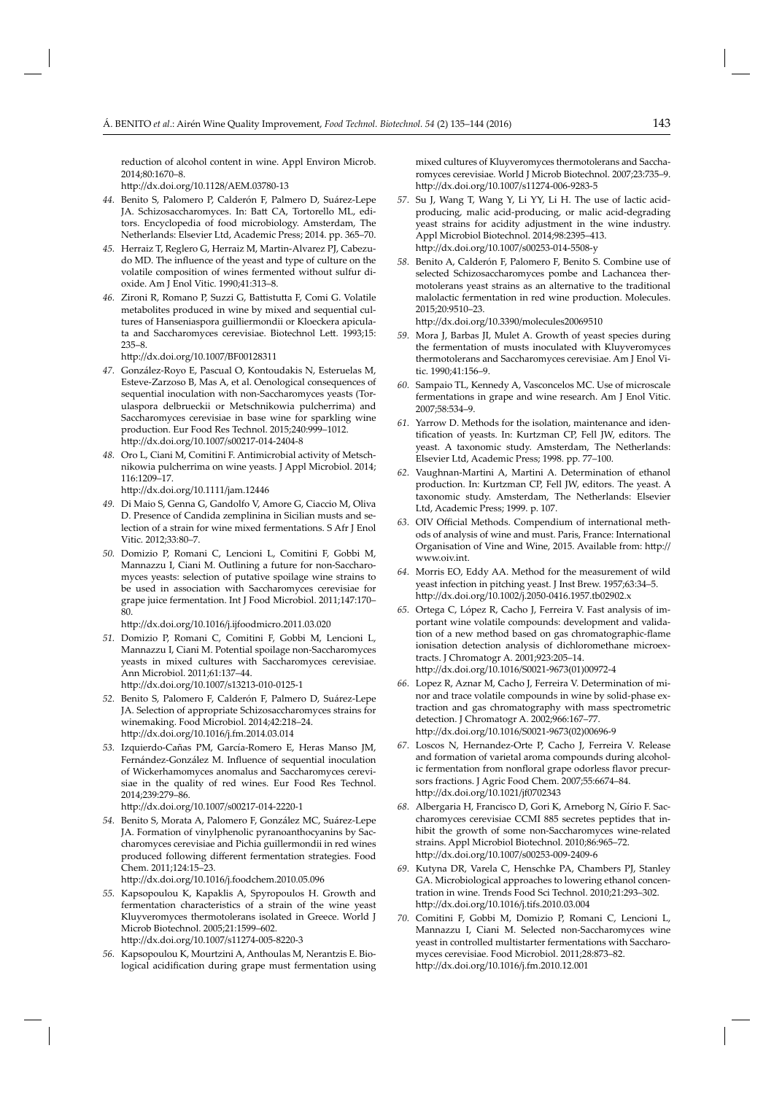reduction of alcohol content in wine. Appl Environ Microb. 2014;80:1670–8.

http://dx.doi.org/10.1128/AEM.03780-13

- *44.* Benito S, Palomero P, Calderón F, Palmero D, Suárez-Lepe JA. Schizosaccharomyces. In: Batt CA, Tortorello ML, editors. Encyclopedia of food microbiology. Amsterdam, The Netherlands: Elsevier Ltd, Academic Press; 2014. pp. 365–70.
- *45.* Herraiz T, Reglero G, Herraiz M, Martin-Alvarez PJ, Cabezudo MD. The influence of the yeast and type of culture on the volatile composition of wines fermented without sulfur dioxide. Am J Enol Vitic. 1990;41:313–8.
- 46. Zironi R, Romano P, Suzzi G, Battistutta F, Comi G. Volatile metabolites produced in wine by mixed and sequential cultures of Hanseniaspora guilliermondii or Kloeckera apiculata and Saccharomyces cerevisiae. Biotechnol Lett. 1993;15: 235–8.

http://dx.doi.org/10.1007/BF00128311

- *47.* González-Royo E, Pascual O, Kontoudakis N, Esteruelas M, Esteve-Zarzoso B, Mas A, et al. Oenological consequences of sequential inoculation with non-Saccharomyces yeasts (Torulaspora delbrueckii or Metschnikowia pulcherrima) and Saccharomyces cerevisiae in base wine for sparkling wine production. Eur Food Res Technol. 2015;240:999–1012. http://dx.doi.org/10.1007/s00217-014-2404-8
- 48. Oro L, Ciani M, Comitini F. Antimicrobial activity of Metschnikowia pulcherrima on wine yeasts. J Appl Microbiol. 2014; 116:1209–17.

http://dx.doi.org/10.1111/jam.12446

- *49.* Di Maio S, Genna G, Gandolfo V, Amore G, Ciaccio M, Oliva D. Presence of Candida zemplinina in Sicilian musts and selection of a strain for wine mixed fermentations. S Afr J Enol Vitic. 2012;33:80–7.
- *50.* Domizio P, Romani C, Lencioni L, Comitini F, Gobbi M, Mannazzu I, Ciani M. Outlining a future for non-Saccharomyces yeasts: selection of putative spoilage wine strains to be used in association with Saccharomyces cerevisiae for grape juice fermentation. Int J Food Microbiol. 2011;147:170– 80.

http://dx.doi.org/10.1016/j.ijfoodmicro.2011.03.020

*51.* Domizio P, Romani C, Comitini F, Gobbi M, Lencioni L, Mannazzu I, Ciani M. Potential spoilage non-Saccharomyces yeasts in mixed cultures with Saccharomyces cerevisiae. Ann Microbiol. 2011;61:137–44.

http://dx.doi.org/10.1007/s13213-010-0125-1

- *52.* Benito S, Palomero F, Calderón F, Palmero D, Suárez-Lepe JA. Selection of appropriate Schizosaccharomyces strains for winemaking. Food Microbiol. 2014;42:218–24. htt p://dx.doi.org/10.1016/j.fm.2014.03.014
- *53.* Izquierdo-Cañas PM, García-Romero E, Heras Manso JM, Fernández-González M. Influence of sequential inoculation of Wickerhamomyces anomalus and Saccharomyces cerevisiae in the quality of red wines. Eur Food Res Technol. 2014;239:279–86.

http://dx.doi.org/10.1007/s00217-014-2220-1

- *54.* Benito S, Morata A, Palomero F, González MC, Suárez-Lepe JA. Formation of vinylphenolic pyranoanthocyanins by Saccharomyces cerevisiae and Pichia guillermondii in red wines produced following different fermentation strategies. Food Chem. 2011;124:15–23. http://dx.doi.org/10.1016/j.foodchem.2010.05.096
- *55.* Kapsopoulou K, Kapaklis A, Spyropoulos H. Growth and fermentation characteristics of a strain of the wine yeast Kluyveromyces thermotolerans isolated in Greece. World J Microb Biotechnol. 2005;21:1599–602.

http://dx.doi.org/10.1007/s11274-005-8220-3

*56.* Kapsopoulou K, Mourtzini A, Anthoulas M, Nerantzis E. Biological acidification during grape must fermentation using

mixed cultures of Kluyveromyces thermotolerans and Saccharomyces cerevisiae. World J Microb Biotechnol. 2007;23:735–9. http://dx.doi.org/10.1007/s11274-006-9283-5

- *57.* Su J, Wang T, Wang Y, Li YY, Li H. The use of lactic acidproducing, malic acid-producing, or malic acid-degrading yeast strains for acidity adjustment in the wine industry. Appl Microbiol Biotechnol. 2014;98:2395–413. http://dx.doi.org/10.1007/s00253-014-5508-y
- *58.* Benito A, Calderón F, Palomero F, Benito S. Combine use of selected Schizosaccharomyces pombe and Lachancea thermotolerans yeast strains as an alternative to the traditional malolactic fermentation in red wine production. Molecules. 2015;20:9510–23.

http://dx.doi.org/10.3390/molecules20069510

- *59.* Mora J, Barbas JI, Mulet A. Growth of yeast species during the fermentation of musts inoculated with Kluyveromyces thermotolerans and Saccharomyces cerevisiae. Am J Enol Vitic. 1990;41:156–9.
- *60.* Sampaio TL, Kennedy A, Vasconcelos MC. Use of microscale fermentations in grape and wine research. Am J Enol Vitic. 2007;58:534–9.
- *61.* Yarrow D. Methods for the isolation, maintenance and identification of yeasts. In: Kurtzman CP, Fell JW, editors. The yeast. A taxonomic study. Amsterdam, The Netherlands: Elsevier Ltd, Academic Press; 1998. pp. 77–100.
- *62.* Vaughnan-Martini A, Martini A. Determination of ethanol production. In: Kurtzman CP, Fell JW, editors. The yeast. A taxonomic study. Amsterdam, The Netherlands: Elsevier Ltd, Academic Press; 1999. p. 107.
- 63. OIV Official Methods. Compendium of international methods of analysis of wine and must. Paris, France: International Organisation of Vine and Wine, 2015. Available from: http:// www.oiv.int.
- *64.* Morris EO, Eddy AA. Method for the measurement of wild yeast infection in pitching yeast. J Inst Brew. 1957;63:34–5. htt p://dx.doi.org/10.1002/j.2050-0416.1957.tb02902.x
- *65.* Ortega C, López R, Cacho J, Ferreira V. Fast analysis of important wine volatile compounds: development and validation of a new method based on gas chromatographic-flame ionisation detection analysis of dichloromethane microextracts. J Chromatogr A. 2001;923:205–14. http://dx.doi.org/10.1016/S0021-9673(01)00972-4
- *66.* Lopez R, Aznar M, Cacho J, Ferreira V. Determination of minor and trace volatile compounds in wine by solid-phase extraction and gas chromatography with mass spectrometric detection. J Chromatogr A. 2002;966:167–77. http://dx.doi.org/10.1016/S0021-9673(02)00696-9
- *67.* Loscos N, Hernandez-Orte P, Cacho J, Ferreira V. Release and formation of varietal aroma compounds during alcoholic fermentation from nonfloral grape odorless flavor precursors fractions. J Agric Food Chem. 2007;55:6674–84. http://dx.doi.org/10.1021/jf0702343
- *68.* Albergaria H, Francisco D, Gori K, Arneborg N, Gírio F. Saccharomyces cerevisiae CCMI 885 secretes peptides that inhibit the growth of some non-Saccharomyces wine-related strains. Appl Microbiol Biotechnol. 2010;86:965–72. http://dx.doi.org/10.1007/s00253-009-2409-6
- *69.* Kutyna DR, Varela C, Henschke PA, Chambers PJ, Stanley GA. Microbiological approaches to lowering ethanol concentration in wine. Trends Food Sci Technol. 2010;21:293–302. http://dx.doi.org/10.1016/j.tifs.2010.03.004
- *70.* Comitini F, Gobbi M, Domizio P, Romani C, Lencioni L, Mannazzu I, Ciani M. Selected non-Saccharomyces wine yeast in controlled multistarter fermentations with Saccharomyces cerevisiae. Food Microbiol. 2011;28:873–82. http://dx.doi.org/10.1016/j.fm.2010.12.001